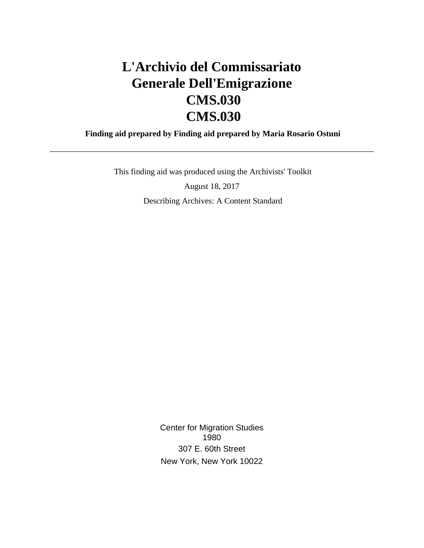# **L'Archivio del Commissariato Generale Dell'Emigrazione CMS.030 CMS.030**

 **Finding aid prepared by Finding aid prepared by Maria Rosario Ostuni**

This finding aid was produced using the Archivists' Toolkit

August 18, 2017 Describing Archives: A Content Standard

> Center for Migration Studies 1980 307 E. 60th Street New York, New York 10022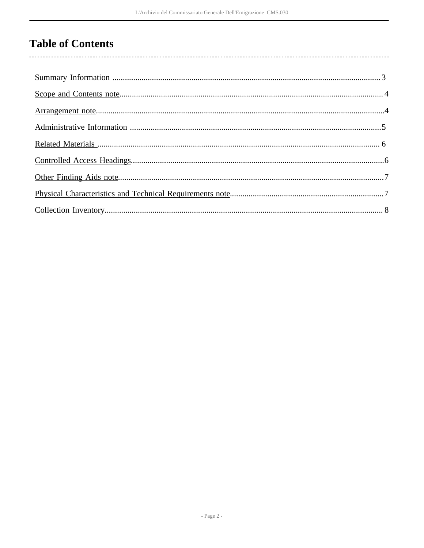# **Table of Contents**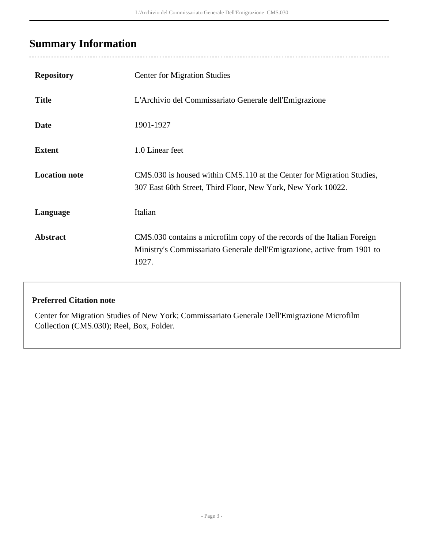# <span id="page-2-0"></span>**Summary Information**

| <b>Repository</b>    | <b>Center for Migration Studies</b>                                                                                                                         |
|----------------------|-------------------------------------------------------------------------------------------------------------------------------------------------------------|
| <b>Title</b>         | L'Archivio del Commissariato Generale dell'Emigrazione                                                                                                      |
| <b>Date</b>          | 1901-1927                                                                                                                                                   |
| <b>Extent</b>        | 1.0 Linear feet                                                                                                                                             |
| <b>Location note</b> | CMS.030 is housed within CMS.110 at the Center for Migration Studies,<br>307 East 60th Street, Third Floor, New York, New York 10022.                       |
| Language             | Italian                                                                                                                                                     |
| <b>Abstract</b>      | CMS.030 contains a microfilm copy of the records of the Italian Foreign<br>Ministry's Commissariato Generale dell'Emigrazione, active from 1901 to<br>1927. |

### **Preferred Citation note**

Center for Migration Studies of New York; Commissariato Generale Dell'Emigrazione Microfilm Collection (CMS.030); Reel, Box, Folder.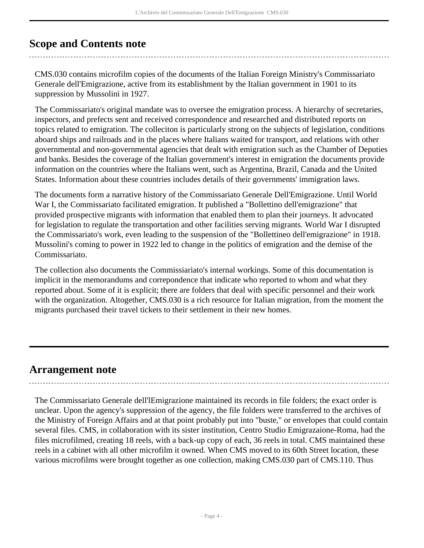## <span id="page-3-0"></span>**Scope and Contents note**

CMS.030 contains microfilm copies of the documents of the Italian Foreign Ministry's Commissariato Generale dell'Emigrazione, active from its establishment by the Italian government in 1901 to its suppression by Mussolini in 1927.

The Commissariato's original mandate was to oversee the emigration process. A hierarchy of secretaries, inspectors, and prefects sent and received correspondence and researched and distributed reports on topics related to emigration. The colleciton is particularly strong on the subjects of legislation, conditions aboard ships and railroads and in the places where Italians waited for transport, and relations with other governmental and non-governmental agencies that dealt with emigration such as the Chamber of Deputies and banks. Besides the coverage of the Italian government's interest in emigration the documents provide information on the countries where the Italians went, such as Argentina, Brazil, Canada and the United States. Information about these countries includes details of their governments' immigration laws.

The documents form a narrative history of the Commissariato Generale Dell'Emigrazione. Until World War I, the Commissariato facilitated emigration. It published a "Bollettino dell'emigrazione" that provided prospective migrants with information that enabled them to plan their journeys. It advocated for legislation to regulate the transportation and other facilities serving migrants. World War I disrupted the Commissariato's work, even leading to the suspension of the "Bollettineo dell'emigrazione" in 1918. Mussolini's coming to power in 1922 led to change in the politics of emigration and the demise of the Commissariato.

The collection also documents the Commissiariato's internal workings. Some of this documentation is implicit in the memorandums and correpondence that indicate who reported to whom and what they reported about. Some of it is explicit; there are folders that deal with specific personnel and their work with the organization. Altogether, CMS.030 is a rich resource for Italian migration, from the moment the migrants purchased their travel tickets to their settlement in their new homes.

### <span id="page-3-1"></span>**Arrangement note**

The Commissariato Generale dell'lEmigrazione maintained its records in file folders; the exact order is unclear. Upon the agency's suppression of the agency, the file folders were transferred to the archives of the Ministry of Foreign Affairs and at that point probably put into "buste," or envelopes that could contain several files. CMS, in collaboration with its sister institution, Centro Studio Emigrazaione-Roma, had the files microfilmed, creating 18 reels, with a back-up copy of each, 36 reels in total. CMS maintained these reels in a cabinet with all other microfilm it owned. When CMS moved to its 60th Street location, these various microfilms were brought together as one collection, making CMS.030 part of CMS.110. Thus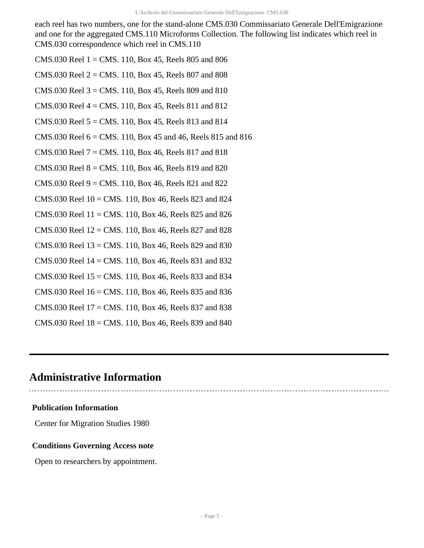each reel has two numbers, one for the stand-alone CMS.030 Commissariato Generale Dell'Emigrazione and one for the aggregated CMS.110 Microforms Collection. The following list indicates which reel in CMS.030 correspondence which reel in CMS.110

- CMS.030 Reel 1 = CMS. 110, Box 45, Reels 805 and 806
- CMS.030 Reel  $2 =$  CMS. 110, Box 45, Reels 807 and 808
- CMS.030 Reel  $3 =$  CMS. 110, Box 45, Reels 809 and 810
- CMS.030 Reel 4 = CMS. 110, Box 45, Reels 811 and 812
- CMS.030 Reel  $5 =$  CMS. 110, Box 45, Reels 813 and 814
- CMS.030 Reel  $6 = CMS. 110$ , Box 45 and 46, Reels 815 and 816
- CMS.030 Reel  $7 =$  CMS. 110, Box 46, Reels 817 and 818
- CMS.030 Reel  $8 =$  CMS. 110, Box 46, Reels 819 and 820
- CMS.030 Reel  $9 = CMS.110$ , Box 46, Reels 821 and 822
- CMS.030 Reel  $10 =$  CMS. 110, Box 46, Reels 823 and 824
- CMS.030 Reel  $11 =$  CMS. 110, Box 46, Reels 825 and 826
- CMS.030 Reel  $12 =$  CMS. 110, Box 46, Reels 827 and 828
- CMS.030 Reel 13 = CMS. 110, Box 46, Reels 829 and 830
- CMS.030 Reel 14 = CMS. 110, Box 46, Reels 831 and 832
- CMS.030 Reel  $15 =$ CMS. 110, Box 46, Reels 833 and 834
- CMS.030 Reel  $16 = CMS. 110$ , Box 46, Reels 835 and 836
- CMS.030 Reel 17 = CMS. 110, Box 46, Reels 837 and 838
- CMS.030 Reel  $18 =$  CMS. 110, Box 46, Reels 839 and 840

## <span id="page-4-0"></span>**Administrative Information**

#### **Publication Information**

Center for Migration Studies 1980

#### **Conditions Governing Access note**

Open to researchers by appointment.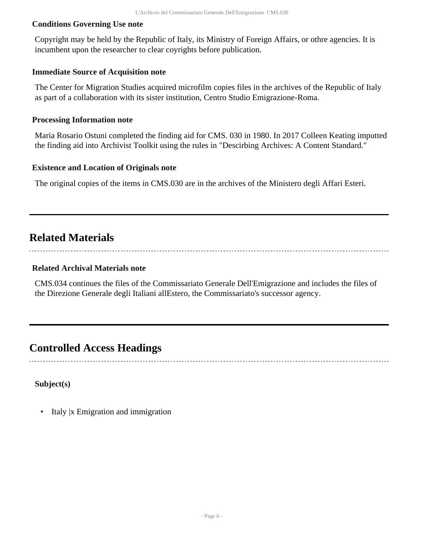#### **Conditions Governing Use note**

Copyright may be held by the Republic of Italy, its Ministry of Foreign Affairs, or othre agencies. It is incumbent upon the researcher to clear coyrights before publication.

#### **Immediate Source of Acquisition note**

The Center for Migration Studies acquired microfilm copies files in the archives of the Republic of Italy as part of a collaboration with its sister institution, Centro Studio Emigrazione-Roma.

#### **Processing Information note**

Maria Rosario Ostuni completed the finding aid for CMS. 030 in 1980. In 2017 Colleen Keating imputted the finding aid into Archivist Toolkit using the rules in "Descirbing Archives: A Content Standard."

#### **Existence and Location of Originals note**

The original copies of the items in CMS.030 are in the archives of the Ministero degli Affari Esteri.

### <span id="page-5-0"></span>**Related Materials**

#### **Related Archival Materials note**

CMS.034 continues the files of the Commissariato Generale Dell'Emigrazione and includes the files of the Direzione Generale degli Italiani allEstero, the Commissariato's successor agency.

### <span id="page-5-1"></span>**Controlled Access Headings**

**Subject(s)**

• Italy |x Emigration and immigration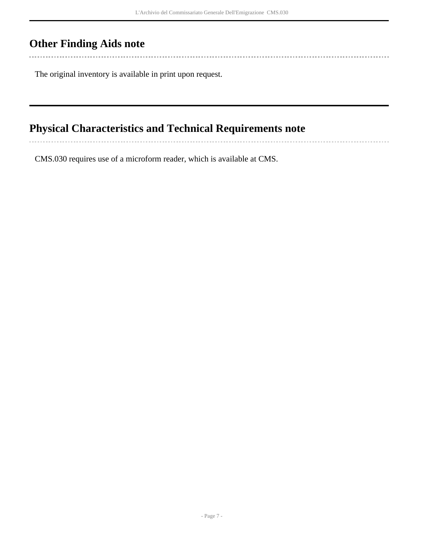-----------------------

# <span id="page-6-0"></span>**Other Finding Aids note**

The original inventory is available in print upon request.

# <span id="page-6-1"></span>**Physical Characteristics and Technical Requirements note**

CMS.030 requires use of a microform reader, which is available at CMS.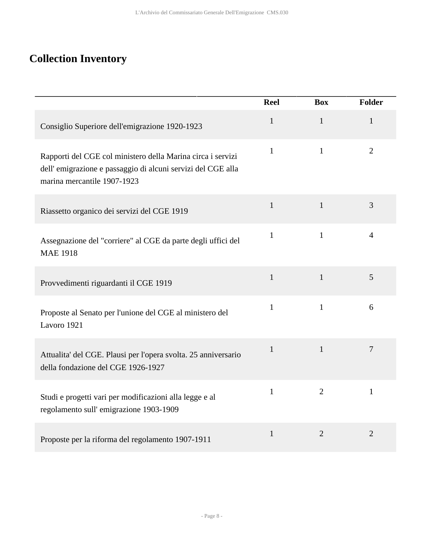# <span id="page-7-0"></span>**Collection Inventory**

|                                                                                                                                                           | <b>Reel</b>  | <b>Box</b>     | <b>Folder</b>  |
|-----------------------------------------------------------------------------------------------------------------------------------------------------------|--------------|----------------|----------------|
| Consiglio Superiore dell'emigrazione 1920-1923                                                                                                            | $\mathbf{1}$ | $\mathbf{1}$   | $\mathbf{1}$   |
| Rapporti del CGE col ministero della Marina circa i servizi<br>dell'emigrazione e passaggio di alcuni servizi del CGE alla<br>marina mercantile 1907-1923 | $\mathbf{1}$ | $\mathbf{1}$   | $\overline{2}$ |
| Riassetto organico dei servizi del CGE 1919                                                                                                               | 1            | $\mathbf{1}$   | $\overline{3}$ |
| Assegnazione del "corriere" al CGE da parte degli uffici del<br><b>MAE 1918</b>                                                                           | $\mathbf{1}$ | $\mathbf{1}$   | $\overline{4}$ |
| Provvedimenti riguardanti il CGE 1919                                                                                                                     | $\mathbf{1}$ | $\mathbf{1}$   | 5              |
| Proposte al Senato per l'unione del CGE al ministero del<br>Lavoro 1921                                                                                   | $\mathbf{1}$ | $\mathbf{1}$   | 6              |
| Attualita' del CGE. Plausi per l'opera svolta. 25 anniversario<br>della fondazione del CGE 1926-1927                                                      | $\mathbf{1}$ | $\mathbf{1}$   | $\tau$         |
| Studi e progetti vari per modificazioni alla legge e al<br>regolamento sull'emigrazione 1903-1909                                                         | $\mathbf{1}$ | $\overline{2}$ | $\mathbf{1}$   |
| Proposte per la riforma del regolamento 1907-1911                                                                                                         | $\mathbf{1}$ | $\overline{2}$ | $\overline{2}$ |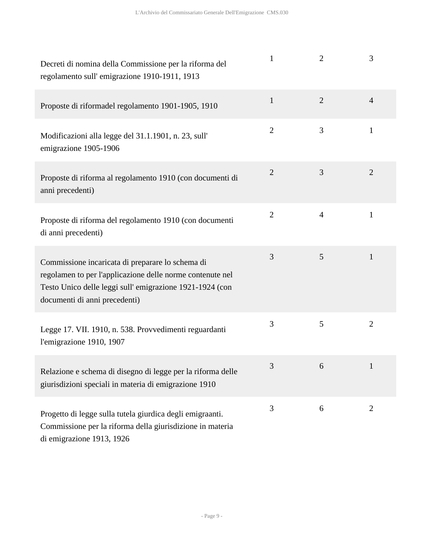| Decreti di nomina della Commissione per la riforma del<br>regolamento sull'emigrazione 1910-1911, 1913                                                                                                    | 1              | $\overline{2}$ | 3              |
|-----------------------------------------------------------------------------------------------------------------------------------------------------------------------------------------------------------|----------------|----------------|----------------|
| Proposte di riformadel regolamento 1901-1905, 1910                                                                                                                                                        | $\mathbf{1}$   | $\overline{2}$ | $\overline{4}$ |
| Modificazioni alla legge del 31.1.1901, n. 23, sull'<br>emigrazione 1905-1906                                                                                                                             | $\overline{2}$ | 3              | $\mathbf{1}$   |
| Proposte di riforma al regolamento 1910 (con documenti di<br>anni precedenti)                                                                                                                             | $\overline{2}$ | 3              | $\overline{2}$ |
| Proposte di riforma del regolamento 1910 (con documenti<br>di anni precedenti)                                                                                                                            | $\overline{2}$ | $\overline{4}$ | 1              |
| Commissione incaricata di preparare lo schema di<br>regolamen to per l'applicazione delle norme contenute nel<br>Testo Unico delle leggi sull'emigrazione 1921-1924 (con<br>documenti di anni precedenti) | 3              | 5              | 1              |
| Legge 17. VII. 1910, n. 538. Provvedimenti reguardanti<br>l'emigrazione 1910, 1907                                                                                                                        | 3              | 5              | $\overline{2}$ |
| Relazione e schema di disegno di legge per la riforma delle<br>giurisdizioni speciali in materia di emigrazione 1910                                                                                      | 3              | 6              | 1              |
| Progetto di legge sulla tutela giurdica degli emigraanti.<br>Commissione per la riforma della giurisdizione in materia<br>di emigrazione 1913, 1926                                                       | 3              | 6              | $\overline{2}$ |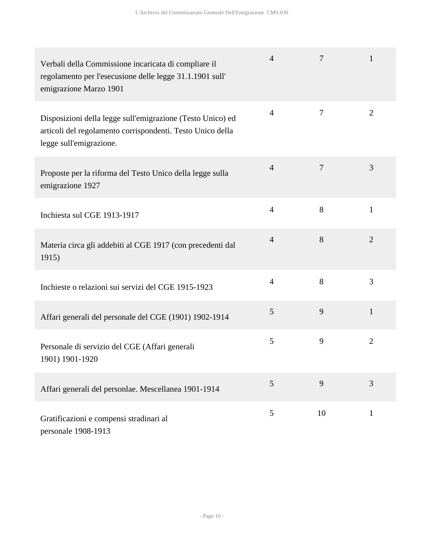| Verbali della Commissione incaricata di compliare il<br>regolamento per l'esecusione delle legge 31.1.1901 sull'<br>emigrazione Marzo 1901          | $\overline{4}$ | 7              | 1              |
|-----------------------------------------------------------------------------------------------------------------------------------------------------|----------------|----------------|----------------|
| Disposizioni della legge sull'emigrazione (Testo Unico) ed<br>articoli del regolamento corrispondenti. Testo Unico della<br>legge sull'emigrazione. | $\overline{4}$ | $\tau$         | $\overline{2}$ |
| Proposte per la riforma del Testo Unico della legge sulla<br>emigrazione 1927                                                                       | $\overline{4}$ | $\overline{7}$ | 3              |
| Inchiesta sul CGE 1913-1917                                                                                                                         | $\overline{4}$ | 8              | $\mathbf{1}$   |
| Materia circa gli addebiti al CGE 1917 (con precedenti dal<br>1915)                                                                                 | $\overline{4}$ | 8              | $\overline{2}$ |
| Inchieste o relazioni sui servizi del CGE 1915-1923                                                                                                 | $\overline{4}$ | 8              | 3              |
| Affari generali del personale del CGE (1901) 1902-1914                                                                                              | 5              | 9              | $\mathbf{1}$   |
| Personale di servizio del CGE (Affari generali<br>1901) 1901-1920                                                                                   | 5              | 9              | $\overline{2}$ |
| Affari generali del personlae. Mescellanea 1901-1914                                                                                                | 5              | 9              | 3              |
| Gratificazioni e compensi stradinari al<br>personale 1908-1913                                                                                      | 5              | 10             | $\mathbf{1}$   |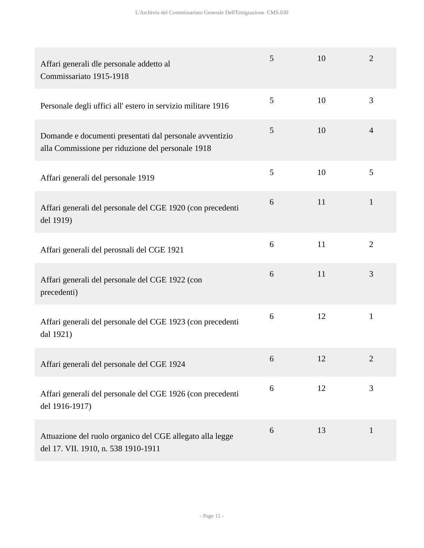| Affari generali dle personale addetto al<br>Commissariato 1915-1918                                          | 5 | 10 | $\overline{2}$ |
|--------------------------------------------------------------------------------------------------------------|---|----|----------------|
| Personale degli uffici all'estero in servizio militare 1916                                                  | 5 | 10 | 3              |
| Domande e documenti presentati dal personale avventizio<br>alla Commissione per riduzione del personale 1918 | 5 | 10 | $\overline{4}$ |
| Affari generali del personale 1919                                                                           | 5 | 10 | 5              |
| Affari generali del personale del CGE 1920 (con precedenti<br>del 1919)                                      | 6 | 11 | $\mathbf{1}$   |
| Affari generali del perosnali del CGE 1921                                                                   | 6 | 11 | $\overline{2}$ |
| Affari generali del personale del CGE 1922 (con<br>precedenti)                                               | 6 | 11 | 3              |
| Affari generali del personale del CGE 1923 (con precedenti<br>dal 1921)                                      | 6 | 12 | $\mathbf{1}$   |
| Affari generali del personale del CGE 1924                                                                   | 6 | 12 | 2              |
| Affari generali del personale del CGE 1926 (con precedenti<br>del 1916-1917)                                 | 6 | 12 | 3              |
| Attuazione del ruolo organico del CGE allegato alla legge<br>del 17. VII. 1910, n. 538 1910-1911             | 6 | 13 | $\mathbf{1}$   |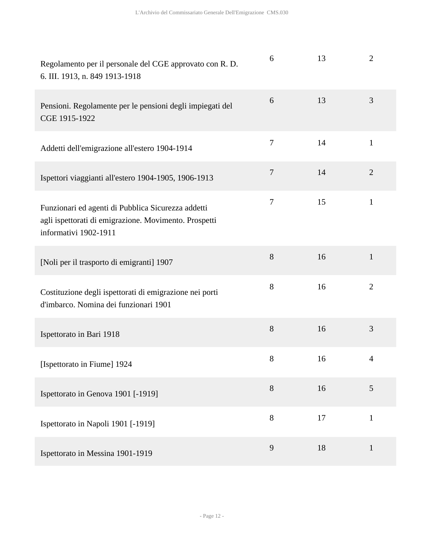| Regolamento per il personale del CGE approvato con R. D.<br>6. III. 1913, n. 849 1913-1918                                           | 6                | 13 | $\overline{2}$ |
|--------------------------------------------------------------------------------------------------------------------------------------|------------------|----|----------------|
| Pensioni. Regolamente per le pensioni degli impiegati del<br>CGE 1915-1922                                                           | 6                | 13 | 3              |
| Addetti dell'emigrazione all'estero 1904-1914                                                                                        | $\boldsymbol{7}$ | 14 | $\mathbf{1}$   |
| Ispettori viaggianti all'estero 1904-1905, 1906-1913                                                                                 | $\overline{7}$   | 14 | $\overline{2}$ |
| Funzionari ed agenti di Pubblica Sicurezza addetti<br>agli ispettorati di emigrazione. Movimento. Prospetti<br>informativi 1902-1911 | $\boldsymbol{7}$ | 15 | $\mathbf{1}$   |
| [Noli per il trasporto di emigranti] 1907                                                                                            | 8                | 16 | $\mathbf{1}$   |
| Costituzione degli ispettorati di emigrazione nei porti<br>d'imbarco. Nomina dei funzionari 1901                                     | 8                | 16 | $\overline{2}$ |
| Ispettorato in Bari 1918                                                                                                             | 8                | 16 | 3              |
| [Ispettorato in Fiume] 1924                                                                                                          | $8\,$            | 16 | 4              |
| Ispettorato in Genova 1901 [-1919]                                                                                                   | 8                | 16 | 5              |
| Ispettorato in Napoli 1901 [-1919]                                                                                                   | 8                | 17 | $\mathbf{1}$   |
| Ispettorato in Messina 1901-1919                                                                                                     | 9                | 18 | $\mathbf{1}$   |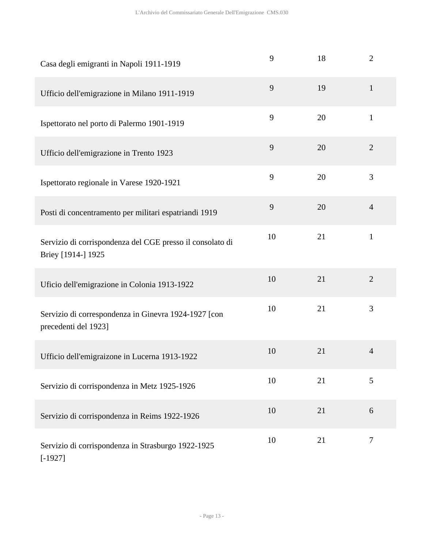| Casa degli emigranti in Napoli 1911-1919                                        | 9  | 18 | $\overline{2}$ |
|---------------------------------------------------------------------------------|----|----|----------------|
| Ufficio dell'emigrazione in Milano 1911-1919                                    | 9  | 19 | $\mathbf{1}$   |
| Ispettorato nel porto di Palermo 1901-1919                                      | 9  | 20 | $\mathbf{1}$   |
| Ufficio dell'emigrazione in Trento 1923                                         | 9  | 20 | $\overline{2}$ |
| Ispettorato regionale in Varese 1920-1921                                       | 9  | 20 | 3              |
| Posti di concentramento per militari espatriandi 1919                           | 9  | 20 | $\overline{4}$ |
| Servizio di corrispondenza del CGE presso il consolato di<br>Briey [1914-] 1925 | 10 | 21 | $\mathbf{1}$   |
| Uficio dell'emigrazione in Colonia 1913-1922                                    | 10 | 21 | $\overline{2}$ |
| Servizio di correspondenza in Ginevra 1924-1927 [con<br>precedenti del 1923]    | 10 | 21 | 3              |
| Ufficio dell'emigraizone in Lucerna 1913-1922                                   | 10 | 21 | $\overline{4}$ |
| Servizio di corrispondenza in Metz 1925-1926                                    | 10 | 21 | 5              |
| Servizio di corrispondenza in Reims 1922-1926                                   | 10 | 21 | 6              |
| Servizio di corrispondenza in Strasburgo 1922-1925<br>$[-1927]$                 | 10 | 21 | 7              |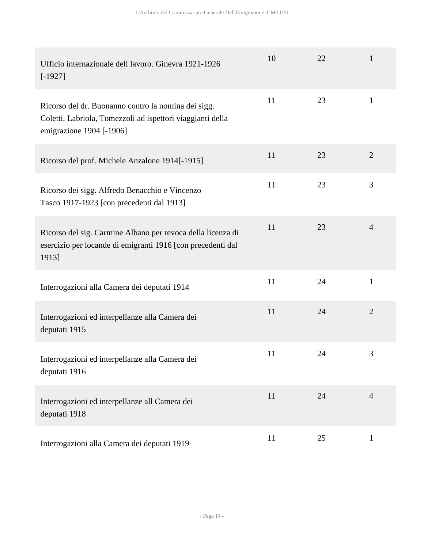| Ufficio internazionale dell lavoro. Ginevra 1921-1926<br>$[-1927]$                                                                            | 10 | 22 | 1              |
|-----------------------------------------------------------------------------------------------------------------------------------------------|----|----|----------------|
| Ricorso del dr. Buonanno contro la nomina dei sigg.<br>Coletti, Labriola, Tomezzoli ad ispettori viaggianti della<br>emigrazione 1904 [-1906] | 11 | 23 | $\mathbf{1}$   |
| Ricorso del prof. Michele Anzalone 1914[-1915]                                                                                                | 11 | 23 | $\overline{2}$ |
| Ricorso dei sigg. Alfredo Benacchio e Vincenzo<br>Tasco 1917-1923 [con precedenti dal 1913]                                                   | 11 | 23 | 3              |
| Ricorso del sig. Carmine Albano per revoca della licenza di<br>esercizio per locande di emigranti 1916 [con precedenti dal<br>1913]           | 11 | 23 | $\overline{4}$ |
| Interrogazioni alla Camera dei deputati 1914                                                                                                  | 11 | 24 | $\mathbf{1}$   |
| Interrogazioni ed interpellanze alla Camera dei<br>deputati 1915                                                                              | 11 | 24 | $\overline{2}$ |
| Interrogazioni ed interpellanze alla Camera dei<br>deputati 1916                                                                              | 11 | 24 | 3              |
| Interrogazioni ed interpellanze all Camera dei<br>deputati 1918                                                                               | 11 | 24 | $\overline{4}$ |
| Interrogazioni alla Camera dei deputati 1919                                                                                                  | 11 | 25 | $\mathbf{1}$   |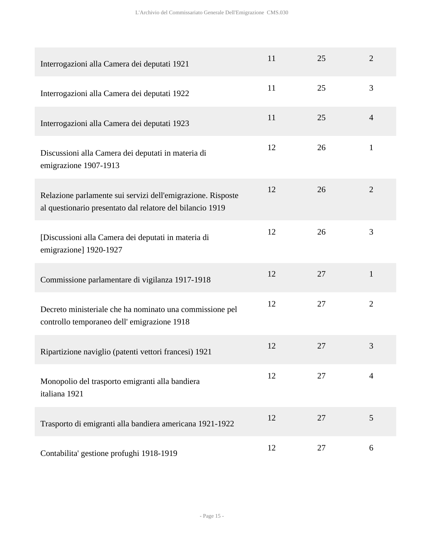| Interrogazioni alla Camera dei deputati 1921                                                                             | 11 | 25 | $\overline{2}$ |
|--------------------------------------------------------------------------------------------------------------------------|----|----|----------------|
| Interrogazioni alla Camera dei deputati 1922                                                                             | 11 | 25 | 3              |
| Interrogazioni alla Camera dei deputati 1923                                                                             | 11 | 25 | $\overline{4}$ |
| Discussioni alla Camera dei deputati in materia di<br>emigrazione 1907-1913                                              | 12 | 26 | $\mathbf{1}$   |
| Relazione parlamente sui servizi dell'emigrazione. Risposte<br>al questionario presentato dal relatore del bilancio 1919 | 12 | 26 | $\overline{2}$ |
| [Discussioni alla Camera dei deputati in materia di<br>emigrazione] 1920-1927                                            | 12 | 26 | 3              |
| Commissione parlamentare di vigilanza 1917-1918                                                                          | 12 | 27 | $\mathbf{1}$   |
| Decreto ministeriale che ha nominato una commissione pel<br>controllo temporaneo dell'emigrazione 1918                   | 12 | 27 | $\overline{2}$ |
| Ripartizione naviglio (patenti vettori francesi) 1921                                                                    | 12 | 27 | 3              |
| Monopolio del trasporto emigranti alla bandiera<br>italiana 1921                                                         | 12 | 27 | $\overline{4}$ |
| Trasporto di emigranti alla bandiera americana 1921-1922                                                                 | 12 | 27 | 5              |
| Contabilita' gestione profughi 1918-1919                                                                                 | 12 | 27 | 6              |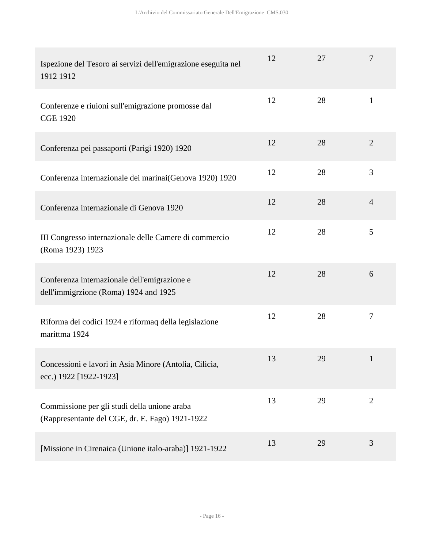| Ispezione del Tesoro ai servizi dell'emigrazione eseguita nel<br>1912 1912                      | 12 | 27 | 7              |
|-------------------------------------------------------------------------------------------------|----|----|----------------|
| Conferenze e riuioni sull'emigrazione promosse dal<br><b>CGE 1920</b>                           | 12 | 28 | $\mathbf{1}$   |
| Conferenza pei passaporti (Parigi 1920) 1920                                                    | 12 | 28 | $\overline{2}$ |
| Conferenza internazionale dei marinai(Genova 1920) 1920                                         | 12 | 28 | 3              |
| Conferenza internazionale di Genova 1920                                                        | 12 | 28 | $\overline{4}$ |
| III Congresso internazionale delle Camere di commercio<br>(Roma 1923) 1923                      | 12 | 28 | 5              |
| Conferenza internazionale dell'emigrazione e<br>dell'immigrzione (Roma) 1924 and 1925           | 12 | 28 | 6              |
| Riforma dei codici 1924 e riformaq della legislazione<br>marittma 1924                          | 12 | 28 | $\tau$         |
| Concessioni e lavori in Asia Minore (Antolia, Cilicia,<br>ecc.) 1922 [1922-1923]                | 13 | 29 |                |
| Commissione per gli studi della unione araba<br>(Rappresentante del CGE, dr. E. Fago) 1921-1922 | 13 | 29 | $\overline{2}$ |
| [Missione in Cirenaica (Unione italo-araba)] 1921-1922                                          | 13 | 29 | 3              |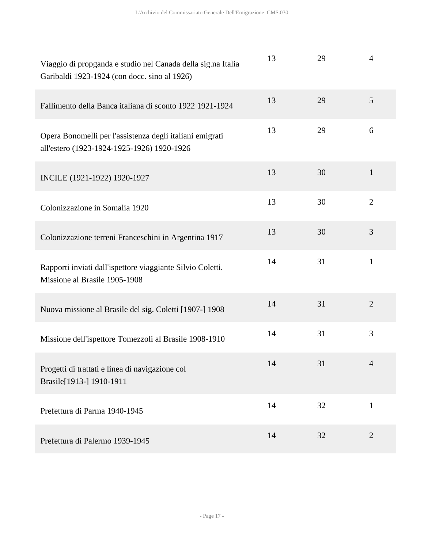| Viaggio di propganda e studio nel Canada della sig.na Italia<br>Garibaldi 1923-1924 (con docc. sino al 1926) | 13 | 29 | $\overline{4}$ |
|--------------------------------------------------------------------------------------------------------------|----|----|----------------|
| Fallimento della Banca italiana di sconto 1922 1921-1924                                                     | 13 | 29 | 5              |
| Opera Bonomelli per l'assistenza degli italiani emigrati<br>all'estero (1923-1924-1925-1926) 1920-1926       | 13 | 29 | 6              |
| INCILE (1921-1922) 1920-1927                                                                                 | 13 | 30 | $\mathbf{1}$   |
| Colonizzazione in Somalia 1920                                                                               | 13 | 30 | $\overline{2}$ |
| Colonizzazione terreni Franceschini in Argentina 1917                                                        | 13 | 30 | 3              |
| Rapporti inviati dall'ispettore viaggiante Silvio Coletti.<br>Missione al Brasile 1905-1908                  | 14 | 31 | $\mathbf{1}$   |
| Nuova missione al Brasile del sig. Coletti [1907-] 1908                                                      | 14 | 31 | $\overline{2}$ |
| Missione dell'ispettore Tomezzoli al Brasile 1908-1910                                                       | 14 | 31 | 3              |
| Progetti di trattati e linea di navigazione col<br>Brasile[1913-] 1910-1911                                  | 14 | 31 | 4              |
| Prefettura di Parma 1940-1945                                                                                | 14 | 32 | $\mathbf{1}$   |
| Prefettura di Palermo 1939-1945                                                                              | 14 | 32 | $\overline{2}$ |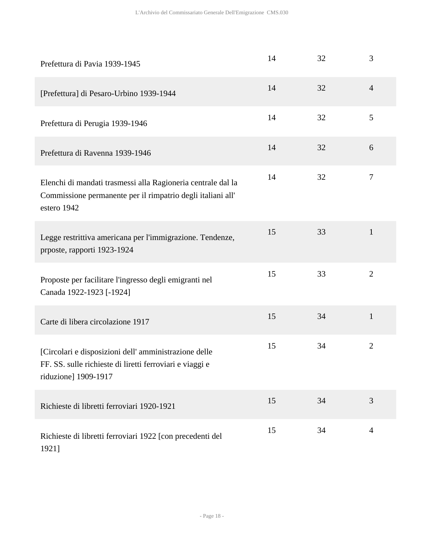| Prefettura di Pavia 1939-1945                                                                                                              | 14 | 32 | 3                |
|--------------------------------------------------------------------------------------------------------------------------------------------|----|----|------------------|
| [Prefettura] di Pesaro-Urbino 1939-1944                                                                                                    | 14 | 32 | $\overline{4}$   |
| Prefettura di Perugia 1939-1946                                                                                                            | 14 | 32 | 5                |
| Prefettura di Ravenna 1939-1946                                                                                                            | 14 | 32 | 6                |
| Elenchi di mandati trasmessi alla Ragioneria centrale dal la<br>Commissione permanente per il rimpatrio degli italiani all'<br>estero 1942 | 14 | 32 | $\boldsymbol{7}$ |
| Legge restrittiva americana per l'immigrazione. Tendenze,<br>prposte, rapporti 1923-1924                                                   | 15 | 33 | $\mathbf{1}$     |
| Proposte per facilitare l'ingresso degli emigranti nel<br>Canada 1922-1923 [-1924]                                                         | 15 | 33 | $\overline{2}$   |
| Carte di libera circolazione 1917                                                                                                          | 15 | 34 | $\mathbf{1}$     |
| [Circolari e disposizioni dell' amministrazione delle<br>FF. SS. sulle richieste di liretti ferroviari e viaggi e<br>riduzione] 1909-1917  | 15 | 34 | $\overline{2}$   |
| Richieste di libretti ferroviari 1920-1921                                                                                                 | 15 | 34 | 3                |
| Richieste di libretti ferroviari 1922 [con precedenti del<br>1921]                                                                         | 15 | 34 | $\overline{4}$   |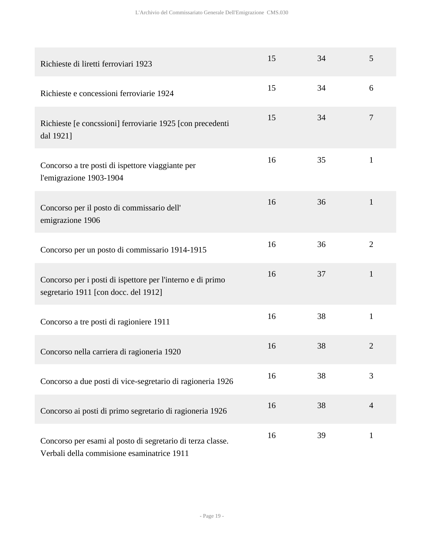| Richieste di liretti ferroviari 1923                                                                     | 15 | 34 | 5              |
|----------------------------------------------------------------------------------------------------------|----|----|----------------|
| Richieste e concessioni ferroviarie 1924                                                                 | 15 | 34 | 6              |
| Richieste [e concssioni] ferroviarie 1925 [con precedenti<br>dal 1921]                                   | 15 | 34 | $\overline{7}$ |
| Concorso a tre posti di ispettore viaggiante per<br>l'emigrazione 1903-1904                              | 16 | 35 | $\mathbf{1}$   |
| Concorso per il posto di commissario dell'<br>emigrazione 1906                                           | 16 | 36 | $\mathbf{1}$   |
| Concorso per un posto di commissario 1914-1915                                                           | 16 | 36 | $\overline{2}$ |
| Concorso per i posti di ispettore per l'interno e di primo<br>segretario 1911 [con docc. del 1912]       | 16 | 37 | $\mathbf{1}$   |
| Concorso a tre posti di ragioniere 1911                                                                  | 16 | 38 | $\mathbf{1}$   |
| Concorso nella carriera di ragioneria 1920                                                               | 16 | 38 | $\overline{2}$ |
| Concorso a due posti di vice-segretario di ragioneria 1926                                               | 16 | 38 | 3              |
| Concorso ai posti di primo segretario di ragioneria 1926                                                 | 16 | 38 | $\overline{4}$ |
| Concorso per esami al posto di segretario di terza classe.<br>Verbali della commisione esaminatrice 1911 | 16 | 39 | $\mathbf{1}$   |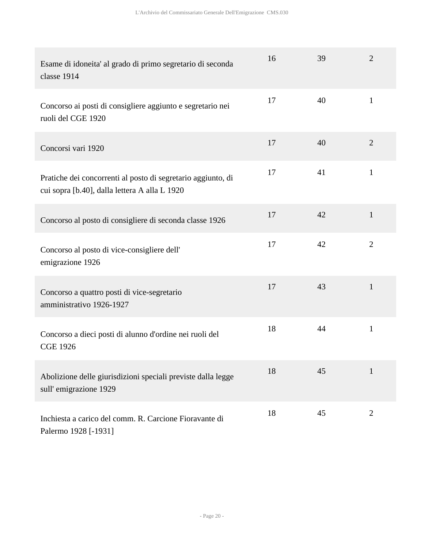| Esame di idoneita' al grado di primo segretario di seconda<br>classe 1914                                     | 16 | 39 | $\overline{2}$ |
|---------------------------------------------------------------------------------------------------------------|----|----|----------------|
| Concorso ai posti di consigliere aggiunto e segretario nei<br>ruoli del CGE 1920                              | 17 | 40 | $\mathbf{1}$   |
| Concorsi vari 1920                                                                                            | 17 | 40 | $\overline{2}$ |
| Pratiche dei concorrenti al posto di segretario aggiunto, di<br>cui sopra [b.40], dalla lettera A alla L 1920 | 17 | 41 | $\mathbf{1}$   |
| Concorso al posto di consigliere di seconda classe 1926                                                       | 17 | 42 | $\mathbf{1}$   |
| Concorso al posto di vice-consigliere dell'<br>emigrazione 1926                                               | 17 | 42 | $\overline{2}$ |
| Concorso a quattro posti di vice-segretario<br>amministrativo 1926-1927                                       | 17 | 43 | $\mathbf{1}$   |
| Concorso a dieci posti di alunno d'ordine nei ruoli del<br><b>CGE 1926</b>                                    | 18 | 44 | $\mathbf{1}$   |
| Abolizione delle giurisdizioni speciali previste dalla legge<br>sull'emigrazione 1929                         | 18 | 45 | $\mathbf{1}$   |
| Inchiesta a carico del comm. R. Carcione Fioravante di<br>Palermo 1928 [-1931]                                | 18 | 45 | $\overline{2}$ |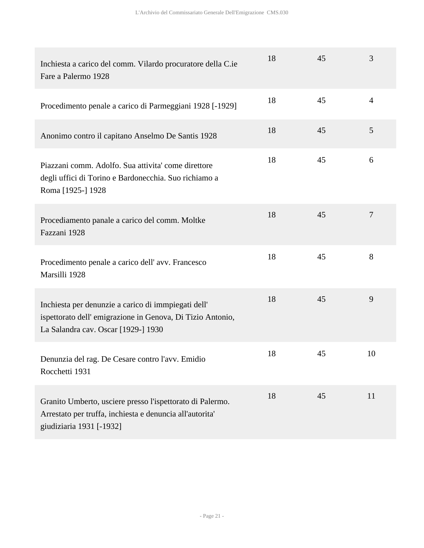| Inchiesta a carico del comm. Vilardo procuratore della C.ie<br>Fare a Palermo 1928                                                                      | 18 | 45 | 3              |
|---------------------------------------------------------------------------------------------------------------------------------------------------------|----|----|----------------|
| Procedimento penale a carico di Parmeggiani 1928 [-1929]                                                                                                | 18 | 45 | $\overline{4}$ |
| Anonimo contro il capitano Anselmo De Santis 1928                                                                                                       | 18 | 45 | 5              |
| Piazzani comm. Adolfo. Sua attivita' come direttore<br>degli uffici di Torino e Bardonecchia. Suo richiamo a<br>Roma [1925-] 1928                       | 18 | 45 | 6              |
| Procediamento panale a carico del comm. Moltke<br>Fazzani 1928                                                                                          | 18 | 45 | 7              |
| Procedimento penale a carico dell'avv. Francesco<br>Marsilli 1928                                                                                       | 18 | 45 | 8              |
| Inchiesta per denunzie a carico di immpiegati dell'<br>ispettorato dell'emigrazione in Genova, Di Tizio Antonio,<br>La Salandra cav. Oscar [1929-] 1930 | 18 | 45 | 9              |
| Denunzia del rag. De Cesare contro l'avv. Emidio<br>Rocchetti 1931                                                                                      | 18 | 45 | 10             |
| Granito Umberto, usciere presso l'ispettorato di Palermo.<br>Arrestato per truffa, inchiesta e denuncia all'autorita'<br>giudiziaria 1931 [-1932]       | 18 | 45 | 11             |